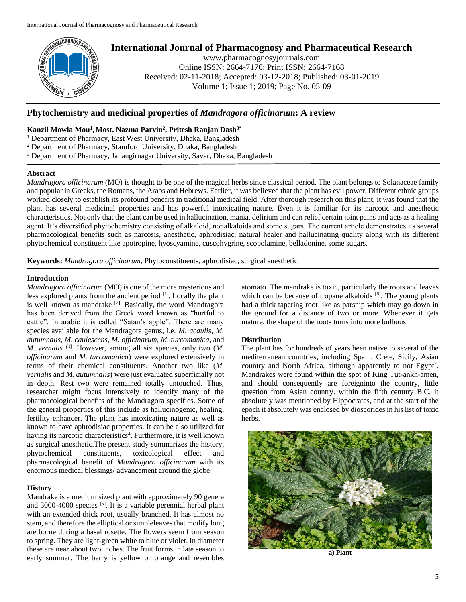

# **International Journal of Pharmacognosy and Pharmaceutical Research**

www.pharmacognosyjournals.com Online ISSN: 2664-7176; Print ISSN: 2664-7168 Received: 02-11-2018; Accepted: 03-12-2018; Published: 03-01-2019 Volume 1; Issue 1; 2019; Page No. 05-09

# **Phytochemistry and medicinal properties of** *Mandragora officinarum***: A review**

# **Kanzil Mowla Mou<sup>1</sup> ,Most. Nazma Parvin<sup>2</sup> , Pritesh Ranjan Dash3\***

<sup>1</sup> Department of Pharmacy, East West University, Dhaka, Bangladesh

- <sup>2</sup> Department of Pharmacy, Stamford University, Dhaka, Bangladesh
- <sup>3</sup> Department of Pharmacy, Jahangirnagar University, Savar, Dhaka, Bangladesh

#### **Abstract**

*Mandragora officinarum* (MO) is thought to be one of the magical herbs since classical period. The plant belongs to Solanaceae family and popular in Greeks, the Romans, the Arabs and Hebrews. Earlier, it was believed that the plant has evil power. Different ethnic groups worked closely to establish its profound benefits in traditional medical field. After thorough research on this plant, it was found that the plant has several medicinal properties and has powerful intoxicating nature. Even it is familiar for its narcotic and anesthetic characteristics. Not only that the plant can be used in hallucination, mania, delirium and can relief certain joint pains and acts as a healing agent. It's diversified phytochemistry consisting of alkaloid, nonalkaloids and some sugars. The current article demonstrates its several pharmacological benefits such as narcosis, anesthetic, aphrodisiac, natural healer and hallucinating quality along with its different phytochemical constituent like apotropine, hyoscyamine, cuscohygrine, scopolamine, belladonine, some sugars.

**Keywords:** *Mandragora officinarum*, Phytoconstituents, aphrodisiac, surgical anesthetic

#### **Introduction**

*Mandragora officinarum* (MO) is one of the more mysterious and less explored plants from the ancient period <sup>[1]</sup>. Locally the plant is well known as mandrake <sup>[2]</sup>. Basically, the word Mandragora has been derived from the Greek word known as "hurtful to cattle". In arabic it is called "Satan's apple". There are many species available for the Mandragora genus, i.e. *M. acaulis, M. autumnalis, M. caulescens, M. officinarum, M. turcomanica,* and *M. vernalis [*3] . However, among all six species, only two (*M. officinarum* and *M. turcomanica*) were explored extensively in terms of their chemical constituents. Another two like (*M. vernalis* and *M. autumnalis*) were just evaluated superficially not in depth. Rest two were remained totally untouched. Thus, researcher might focus intensively to identify many of the pharmacological benefits of the Mandragora specifies. Some of the general properties of this include as hallucinogenic, healing, fertility enhancer. The plant has intoxicating nature as well as known to have aphrodisiac properties. It can be also utilized for having its narcotic characteristics<sup>4</sup>. Furthermore, it is well known as surgical anesthetic.The present study summarizes the history, phytochemical constituents, toxicological effect and pharmacological benefit of *Mandragora officinarum* with its enormous medical blessings/ advancement around the globe.

## **History**

Mandrake is a medium sized plant with approximately 90 genera and 3000-4000 species  $[5]$ . It is a variable perennial herbal plant with an extended thick root, usually branched. It has almost no stem, and therefore the elliptical or simpleleaves that modify long are borne during a basal rosette. The flowers seem from season to spring. They are light-green white to blue or violet. In diameter these are near about two inches. The fruit forms in late season to early summer. The berry is yellow or orange and resembles

atomato. The mandrake is toxic, particularly the roots and leaves which can be because of tropane alkaloids [6]. The young plants had a thick tapering root like as parsnip which may go down in the ground for a distance of two or more. Whenever it gets mature, the shape of the roots turns into more bulbous.

# **Distribution**

The plant has for hundreds of years been native to several of the mediterranean countries, including Spain, Crete, Sicily, Asian country and North Africa, although apparently to not Egypt<sup>7</sup>. Mandrakes were found within the spot of King Tut-ankh-amen, and should consequently are foreigninto the country, little question from Asian country. within the fifth century B.C. it absolutely was mentioned by Hippocrates, and at the start of the epoch it absolutely was enclosed by dioscorides in his list of toxic herbs.



**a) Plant**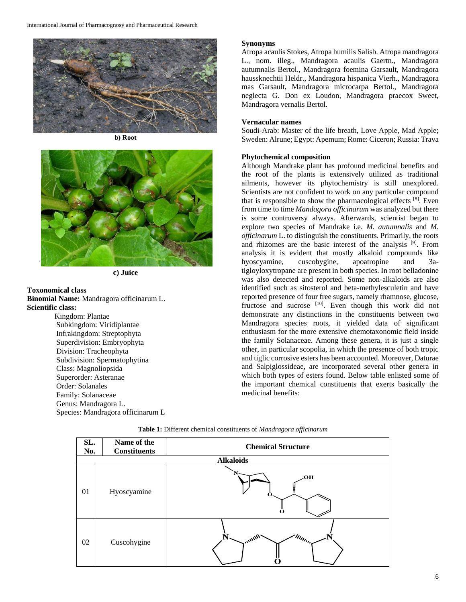

**b) Root**



**c) Juice**

# **Toxonomical class Binomial Name:** Mandragora officinarum L. **Scientific class:**

Kingdom: Plantae Subkingdom: Viridiplantae Infrakingdom: Streptophyta Superdivision: Embryophyta Division: Tracheophyta Subdivision: Spermatophytina Class: Magnoliopsida Superorder: Asteranae Order: Solanales Family: Solanaceae Genus: Mandragora L. Species: Mandragora officinarum L

# **Synonyms**

Atropa acaulis Stokes, Atropa humilis Salisb. Atropa mandragora L., nom. illeg., Mandragora acaulis Gaertn., Mandragora autumnalis Bertol., Mandragora foemina Garsault, Mandragora haussknechtii Heldr., Mandragora hispanica Vierh., Mandragora mas Garsault, Mandragora microcarpa Bertol., Mandragora neglecta G. Don ex Loudon, Mandragora praecox Sweet, Mandragora vernalis Bertol.

## **Vernacular names**

Soudi-Arab: Master of the life breath, Love Apple, Mad Apple; Sweden: Alrune; Egypt: Apemum; Rome: Ciceron; Russia: Trava

# **Phytochemical composition**

Although Mandrake plant has profound medicinal benefits and the root of the plants is extensively utilized as traditional ailments, however its phytochemistry is still unexplored. Scientists are not confident to work on any particular compound that is responsible to show the pharmacological effects <sup>[8]</sup>. Even from time to time *Mandagora officinarum* was analyzed but there is some controversy always. Afterwards, scientist began to explore two species of Mandrake i.e. *M. autumnalis* and *M. officinarum* L. to distinguish the constituents. Primarily, the roots and rhizomes are the basic interest of the analysis <sup>[9]</sup>. From analysis it is evident that mostly alkaloid compounds like hyoscyamine, cuscohygine, apoatropine and 3atigloyloxytropane are present in both species. In root belladonine was also detected and reported. Some non-alkaloids are also identified such as sitosterol and beta-methylesculetin and have reported presence of four free sugars, namely rhamnose, glucose, fructose and sucrose  $[10]$ . Even though this work did not demonstrate any distinctions in the constituents between two Mandragora species roots, it yielded data of significant enthusiasm for the more extensive chemotaxonomic field inside the family Solanaceae. Among these genera, it is just a single other, in particular scopolia, in which the presence of both tropic and tiglic corrosive esters has been accounted. Moreover, Daturae and Salpiglossideae, are incorporated several other genera in which both types of esters found. Below table enlisted some of the important chemical constituents that exerts basically the medicinal benefits:

| SL.<br>No.       | Name of the<br><b>Constituents</b> | <b>Chemical Structure</b>         |
|------------------|------------------------------------|-----------------------------------|
| <b>Alkaloids</b> |                                    |                                   |
| 01               | Hyoscyamine                        | ЮQ<br>≣                           |
| 02               | Cuscohygine                        | $\sim$ $m_{\rm max}$<br>$\mu_{l}$ |

**Table 1:** Different chemical constituents of *Mandragora officinarum*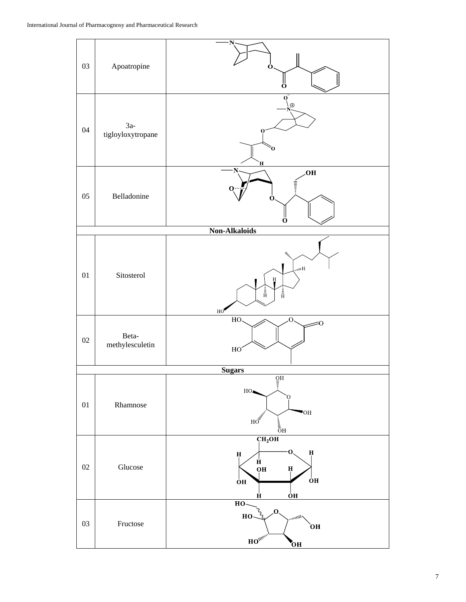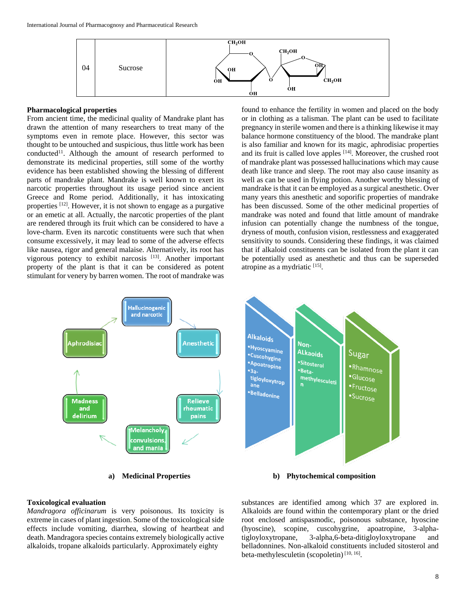

#### **Pharmacological properties**

From ancient time, the medicinal quality of Mandrake plant has drawn the attention of many researchers to treat many of the symptoms even in remote place. However, this sector was thought to be untouched and suspicious, thus little work has been conducted<sup>11</sup>. Although the amount of research performed to demonstrate its medicinal properties, still some of the worthy evidence has been established showing the blessing of different parts of mandrake plant. Mandrake is well known to exert its narcotic properties throughout its usage period since ancient Greece and Rome period. Additionally, it has intoxicating properties <sup>[12]</sup>. However, it is not shown to engage as a purgative or an emetic at all. Actually, the narcotic properties of the plant are rendered through its fruit which can be considered to have a love-charm. Even its narcotic constituents were such that when consume excessively, it may lead to some of the adverse effects like nausea, rigor and general malaise. Alternatively, its root has vigorous potency to exhibit narcosis [13]. Another important property of the plant is that it can be considered as potent stimulant for venery by barren women. The root of mandrake was

found to enhance the fertility in women and placed on the body or in clothing as a talisman. The plant can be used to facilitate pregnancy in sterile women and there is a thinking likewise it may balance hormone constituency of the blood. The mandrake plant is also familiar and known for its magic, aphrodisiac properties and its fruit is called love apples  $[14]$ . Moreover, the crushed root of mandrake plant was possessed hallucinations which may cause death like trance and sleep. The root may also cause insanity as well as can be used in flying potion. Another worthy blessing of mandrake is that it can be employed as a surgical anesthetic. Over many years this anesthetic and soporific properties of mandrake has been discussed. Some of the other medicinal properties of mandrake was noted and found that little amount of mandrake infusion can potentially change the numbness of the tongue, dryness of mouth, confusion vision, restlessness and exaggerated sensitivity to sounds. Considering these findings, it was claimed that if alkaloid constituents can be isolated from the plant it can be potentially used as anesthetic and thus can be superseded atropine as a mydriatic [15].



#### **Toxicological evaluation**

*Mandragora officinarum* is very poisonous. Its toxicity is extreme in cases of plant ingestion. Some of the toxicological side effects include vomiting, diarrhea, slowing of heartbeat and death. Mandragora species contains extremely biologically active alkaloids, tropane alkaloids particularly. Approximately eighty



**a) Medicinal Properties b) Phytochemical composition**

substances are identified among which 37 are explored in. Alkaloids are found within the contemporary plant or the dried root enclosed antispasmodic, poisonous substance, hyoscine (hyoscine), scopine, cuscohygrine, apoatropine, 3-alphatigloyloxytropane, 3-alpha,6-beta-ditigloyloxytropane and belladonnines. Non-alkaloid constituents included sitosterol and beta-methylesculetin (scopoletin)<sup>[10, 16]</sup>.